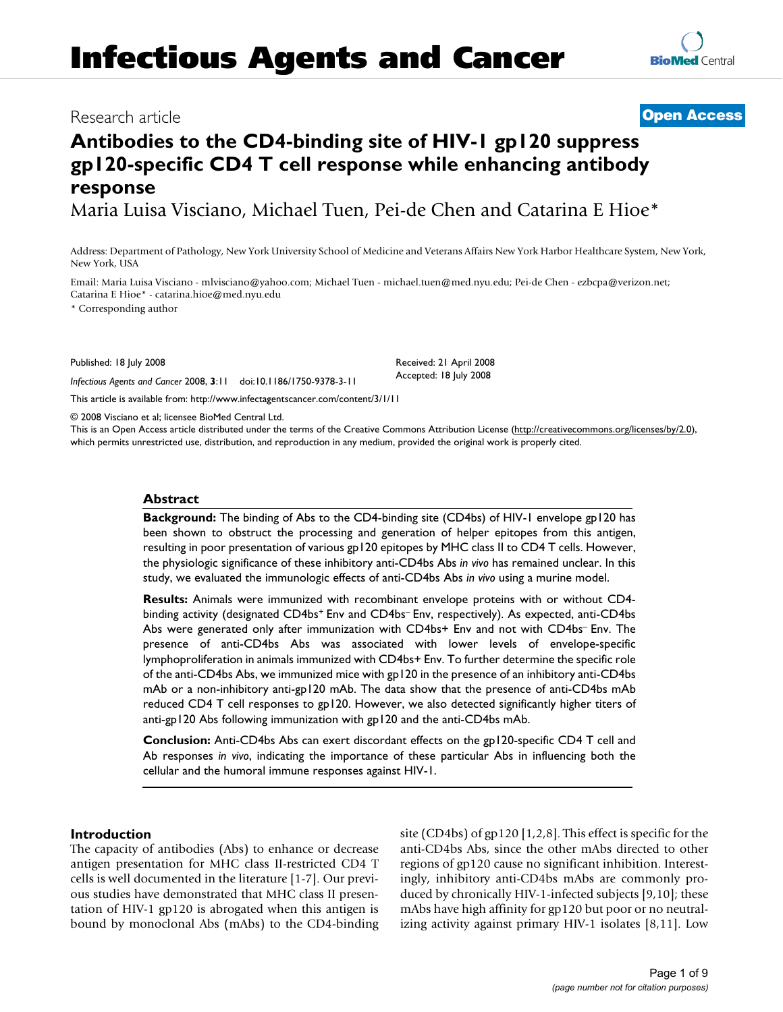# **Infectious Agents and Cancer**

# Research article **[Open Access](http://www.biomedcentral.com/info/about/charter/)**

# **Antibodies to the CD4-binding site of HIV-1 gp120 suppress gp120-specific CD4 T cell response while enhancing antibody response**

Maria Luisa Visciano, Michael Tuen, Pei-de Chen and Catarina E Hioe\*

Address: Department of Pathology, New York University School of Medicine and Veterans Affairs New York Harbor Healthcare System, New York, New York, USA

Email: Maria Luisa Visciano - mlvisciano@yahoo.com; Michael Tuen - michael.tuen@med.nyu.edu; Pei-de Chen - ezbcpa@verizon.net; Catarina E Hioe\* - catarina.hioe@med.nyu.edu

\* Corresponding author

Published: 18 July 2008

*Infectious Agents and Cancer* 2008, **3**:11 doi:10.1186/1750-9378-3-11

[This article is available from: http://www.infectagentscancer.com/content/3/1/11](http://www.infectagentscancer.com/content/3/1/11)

© 2008 Visciano et al; licensee BioMed Central Ltd.

This is an Open Access article distributed under the terms of the Creative Commons Attribution License [\(http://creativecommons.org/licenses/by/2.0\)](http://creativecommons.org/licenses/by/2.0), which permits unrestricted use, distribution, and reproduction in any medium, provided the original work is properly cited.

# **Abstract**

**Background:** The binding of Abs to the CD4-binding site (CD4bs) of HIV-1 envelope gp120 has been shown to obstruct the processing and generation of helper epitopes from this antigen, resulting in poor presentation of various gp120 epitopes by MHC class II to CD4 T cells. However, the physiologic significance of these inhibitory anti-CD4bs Abs *in vivo* has remained unclear. In this study, we evaluated the immunologic effects of anti-CD4bs Abs *in vivo* using a murine model.

**Results:** Animals were immunized with recombinant envelope proteins with or without CD4 binding activity (designated CD4bs<sup>+</sup> Env and CD4bs<sup>-</sup> Env, respectively). As expected, anti-CD4bs Abs were generated only after immunization with CD4bs+ Env and not with CD4bs– Env. The presence of anti-CD4bs Abs was associated with lower levels of envelope-specific lymphoproliferation in animals immunized with CD4bs+ Env. To further determine the specific role of the anti-CD4bs Abs, we immunized mice with gp120 in the presence of an inhibitory anti-CD4bs mAb or a non-inhibitory anti-gp120 mAb. The data show that the presence of anti-CD4bs mAb reduced CD4 T cell responses to gp120. However, we also detected significantly higher titers of anti-gp120 Abs following immunization with gp120 and the anti-CD4bs mAb.

**Conclusion:** Anti-CD4bs Abs can exert discordant effects on the gp120-specific CD4 T cell and Ab responses *in vivo*, indicating the importance of these particular Abs in influencing both the cellular and the humoral immune responses against HIV-1.

#### **Introduction**

The capacity of antibodies (Abs) to enhance or decrease antigen presentation for MHC class II-restricted CD4 T cells is well documented in the literature [1-7]. Our previous studies have demonstrated that MHC class II presentation of HIV-1 gp120 is abrogated when this antigen is bound by monoclonal Abs (mAbs) to the CD4-binding site (CD4bs) of gp120 [1,2,8]. This effect is specific for the anti-CD4bs Abs, since the other mAbs directed to other regions of gp120 cause no significant inhibition. Interestingly, inhibitory anti-CD4bs mAbs are commonly produced by chronically HIV-1-infected subjects [9,10]; these mAbs have high affinity for gp120 but poor or no neutralizing activity against primary HIV-1 isolates [8,11]. Low

**[BioMed](http://www.biomedcentral.com/)** Central

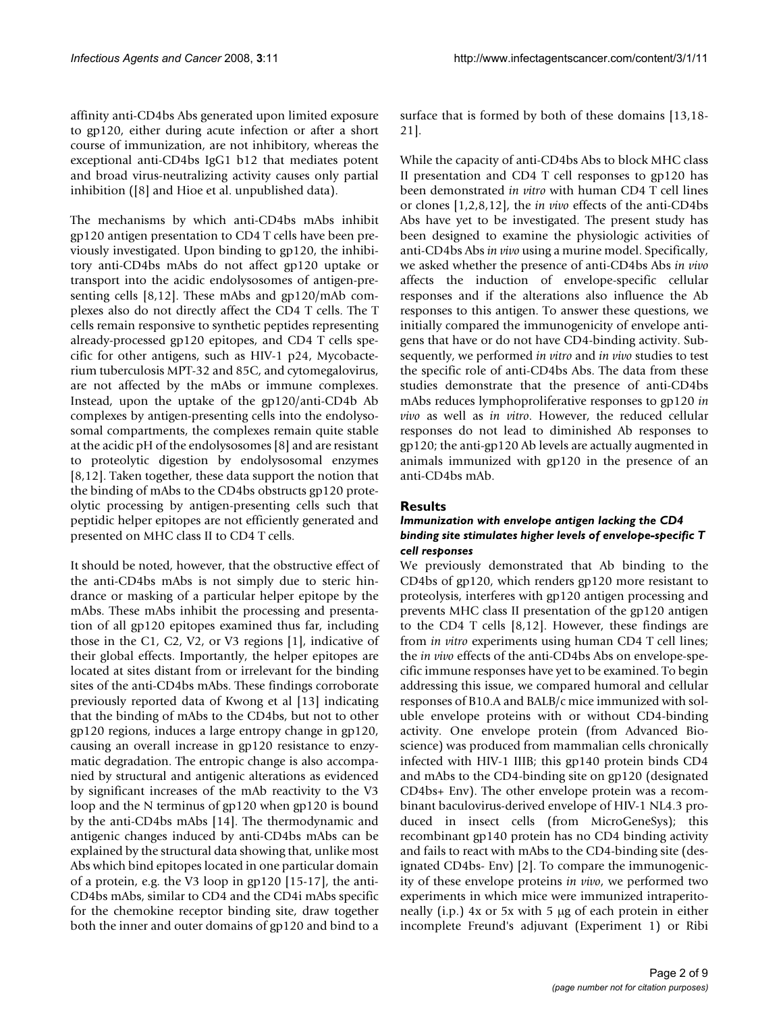affinity anti-CD4bs Abs generated upon limited exposure to gp120, either during acute infection or after a short course of immunization, are not inhibitory, whereas the exceptional anti-CD4bs IgG1 b12 that mediates potent and broad virus-neutralizing activity causes only partial inhibition ([8] and Hioe et al. unpublished data).

The mechanisms by which anti-CD4bs mAbs inhibit gp120 antigen presentation to CD4 T cells have been previously investigated. Upon binding to gp120, the inhibitory anti-CD4bs mAbs do not affect gp120 uptake or transport into the acidic endolysosomes of antigen-presenting cells [8,12]. These mAbs and gp120/mAb complexes also do not directly affect the CD4 T cells. The T cells remain responsive to synthetic peptides representing already-processed gp120 epitopes, and CD4 T cells specific for other antigens, such as HIV-1 p24, Mycobacterium tuberculosis MPT-32 and 85C, and cytomegalovirus, are not affected by the mAbs or immune complexes. Instead, upon the uptake of the gp120/anti-CD4b Ab complexes by antigen-presenting cells into the endolysosomal compartments, the complexes remain quite stable at the acidic pH of the endolysosomes [8] and are resistant to proteolytic digestion by endolysosomal enzymes [8,12]. Taken together, these data support the notion that the binding of mAbs to the CD4bs obstructs gp120 proteolytic processing by antigen-presenting cells such that peptidic helper epitopes are not efficiently generated and presented on MHC class II to CD4 T cells.

It should be noted, however, that the obstructive effect of the anti-CD4bs mAbs is not simply due to steric hindrance or masking of a particular helper epitope by the mAbs. These mAbs inhibit the processing and presentation of all gp120 epitopes examined thus far, including those in the C1, C2, V2, or V3 regions [1], indicative of their global effects. Importantly, the helper epitopes are located at sites distant from or irrelevant for the binding sites of the anti-CD4bs mAbs. These findings corroborate previously reported data of Kwong et al [13] indicating that the binding of mAbs to the CD4bs, but not to other gp120 regions, induces a large entropy change in gp120, causing an overall increase in gp120 resistance to enzymatic degradation. The entropic change is also accompanied by structural and antigenic alterations as evidenced by significant increases of the mAb reactivity to the V3 loop and the N terminus of gp120 when gp120 is bound by the anti-CD4bs mAbs [14]. The thermodynamic and antigenic changes induced by anti-CD4bs mAbs can be explained by the structural data showing that, unlike most Abs which bind epitopes located in one particular domain of a protein, e.g. the V3 loop in gp120 [15-17], the anti-CD4bs mAbs, similar to CD4 and the CD4i mAbs specific for the chemokine receptor binding site, draw together both the inner and outer domains of gp120 and bind to a

surface that is formed by both of these domains [13,18- 21].

While the capacity of anti-CD4bs Abs to block MHC class II presentation and CD4 T cell responses to gp120 has been demonstrated *in vitro* with human CD4 T cell lines or clones [1,2,8,12], the *in vivo* effects of the anti-CD4bs Abs have yet to be investigated. The present study has been designed to examine the physiologic activities of anti-CD4bs Abs *in vivo* using a murine model. Specifically, we asked whether the presence of anti-CD4bs Abs *in vivo* affects the induction of envelope-specific cellular responses and if the alterations also influence the Ab responses to this antigen. To answer these questions, we initially compared the immunogenicity of envelope antigens that have or do not have CD4-binding activity. Subsequently, we performed *in vitro* and *in vivo* studies to test the specific role of anti-CD4bs Abs. The data from these studies demonstrate that the presence of anti-CD4bs mAbs reduces lymphoproliferative responses to gp120 *in vivo* as well as *in vitro*. However, the reduced cellular responses do not lead to diminished Ab responses to gp120; the anti-gp120 Ab levels are actually augmented in animals immunized with gp120 in the presence of an anti-CD4bs mAb.

# **Results**

# *Immunization with envelope antigen lacking the CD4 binding site stimulates higher levels of envelope-specific T cell responses*

We previously demonstrated that Ab binding to the CD4bs of gp120, which renders gp120 more resistant to proteolysis, interferes with gp120 antigen processing and prevents MHC class II presentation of the gp120 antigen to the CD4 T cells [8,12]. However, these findings are from *in vitro* experiments using human CD4 T cell lines; the *in vivo* effects of the anti-CD4bs Abs on envelope-specific immune responses have yet to be examined. To begin addressing this issue, we compared humoral and cellular responses of B10.A and BALB/c mice immunized with soluble envelope proteins with or without CD4-binding activity. One envelope protein (from Advanced Bioscience) was produced from mammalian cells chronically infected with HIV-1 IIIB; this gp140 protein binds CD4 and mAbs to the CD4-binding site on gp120 (designated CD4bs+ Env). The other envelope protein was a recombinant baculovirus-derived envelope of HIV-1 NL4.3 produced in insect cells (from MicroGeneSys); this recombinant gp140 protein has no CD4 binding activity and fails to react with mAbs to the CD4-binding site (designated CD4bs- Env) [2]. To compare the immunogenicity of these envelope proteins *in vivo*, we performed two experiments in which mice were immunized intraperitoneally (i.p.) 4x or 5x with 5 μg of each protein in either incomplete Freund's adjuvant (Experiment 1) or Ribi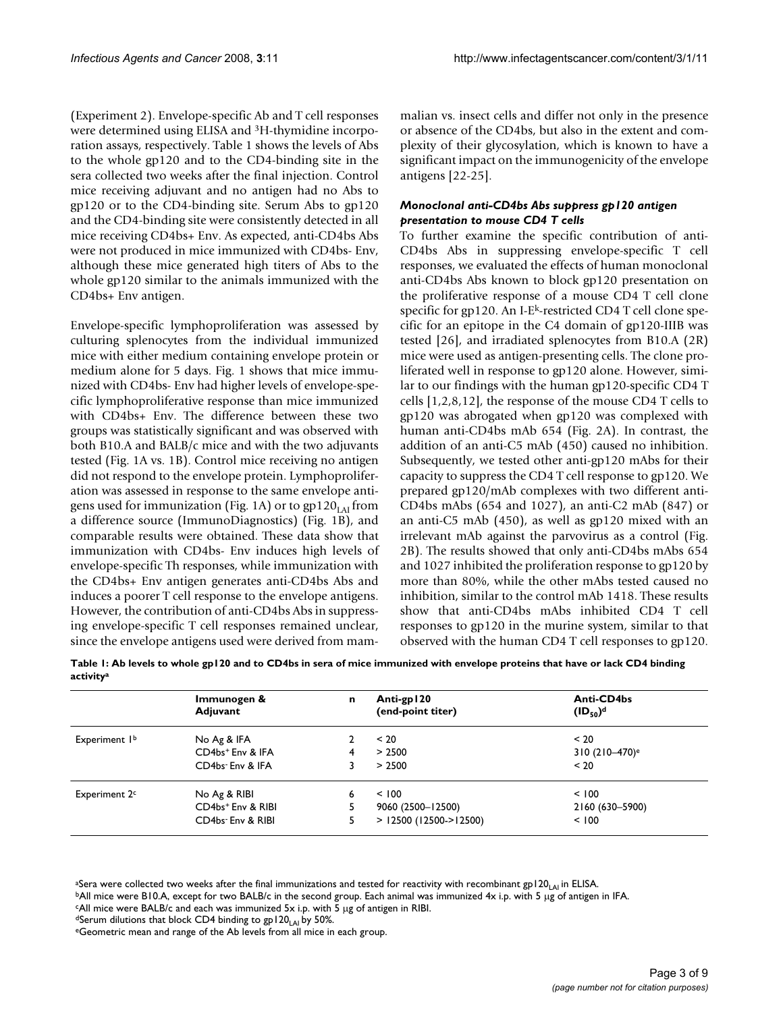(Experiment 2). Envelope-specific Ab and T cell responses were determined using ELISA and 3H-thymidine incorporation assays, respectively. Table 1 shows the levels of Abs to the whole gp120 and to the CD4-binding site in the sera collected two weeks after the final injection. Control mice receiving adjuvant and no antigen had no Abs to gp120 or to the CD4-binding site. Serum Abs to gp120 and the CD4-binding site were consistently detected in all mice receiving CD4bs+ Env. As expected, anti-CD4bs Abs were not produced in mice immunized with CD4bs- Env, although these mice generated high titers of Abs to the whole gp120 similar to the animals immunized with the CD4bs+ Env antigen.

Envelope-specific lymphoproliferation was assessed by culturing splenocytes from the individual immunized mice with either medium containing envelope protein or medium alone for 5 days. Fig. 1 shows that mice immunized with CD4bs- Env had higher levels of envelope-specific lymphoproliferative response than mice immunized with CD4bs+ Env. The difference between these two groups was statistically significant and was observed with both B10.A and BALB/c mice and with the two adjuvants tested (Fig. 1A vs. 1B). Control mice receiving no antigen did not respond to the envelope protein. Lymphoproliferation was assessed in response to the same envelope antigens used for immunization (Fig. 1A) or to  $gp120<sub>LAI</sub>$  from a difference source (ImmunoDiagnostics) (Fig. 1B), and comparable results were obtained. These data show that immunization with CD4bs- Env induces high levels of envelope-specific Th responses, while immunization with the CD4bs+ Env antigen generates anti-CD4bs Abs and induces a poorer T cell response to the envelope antigens. However, the contribution of anti-CD4bs Abs in suppressing envelope-specific T cell responses remained unclear, since the envelope antigens used were derived from mammalian vs. insect cells and differ not only in the presence or absence of the CD4bs, but also in the extent and complexity of their glycosylation, which is known to have a significant impact on the immunogenicity of the envelope antigens [22-25].

# *Monoclonal anti-CD4bs Abs suppress gp120 antigen presentation to mouse CD4 T cells*

To further examine the specific contribution of anti-CD4bs Abs in suppressing envelope-specific T cell responses, we evaluated the effects of human monoclonal anti-CD4bs Abs known to block gp120 presentation on the proliferative response of a mouse CD4 T cell clone specific for gp120. An I-E<sup>k</sup>-restricted CD4 T cell clone specific for an epitope in the C4 domain of gp120-IIIB was tested [26], and irradiated splenocytes from B10.A (2R) mice were used as antigen-presenting cells. The clone proliferated well in response to gp120 alone. However, similar to our findings with the human gp120-specific CD4 T cells [1,2,8,12], the response of the mouse CD4 T cells to gp120 was abrogated when gp120 was complexed with human anti-CD4bs mAb 654 (Fig. 2A). In contrast, the addition of an anti-C5 mAb (450) caused no inhibition. Subsequently, we tested other anti-gp120 mAbs for their capacity to suppress the CD4 T cell response to gp120. We prepared gp120/mAb complexes with two different anti-CD4bs mAbs (654 and 1027), an anti-C2 mAb (847) or an anti-C5 mAb (450), as well as gp120 mixed with an irrelevant mAb against the parvovirus as a control (Fig. 2B). The results showed that only anti-CD4bs mAbs 654 and 1027 inhibited the proliferation response to gp120 by more than 80%, while the other mAbs tested caused no inhibition, similar to the control mAb 1418. These results show that anti-CD4bs mAbs inhibited CD4 T cell responses to gp120 in the murine system, similar to that observed with the human CD4 T cell responses to gp120.

| Table 1: Ab levels to whole gp120 and to CD4bs in sera of mice immunized with envelope proteins that have or lack CD4 binding |  |
|-------------------------------------------------------------------------------------------------------------------------------|--|
| activity <sup>a</sup>                                                                                                         |  |

|                           | Immunogen &<br>Adjuvant       | n | Anti-gp120<br>(end-point titer) | Anti-CD4bs<br>$(1D_{50})^d$ |
|---------------------------|-------------------------------|---|---------------------------------|-----------------------------|
| Experiment I <sup>b</sup> | No Ag & IFA                   |   | < 20                            | < 20                        |
|                           | CD4bs <sup>+</sup> Env & IFA  | 4 | > 2500                          | 310 (210–470) <sup>e</sup>  |
|                           | CD4bs Env & IFA               |   | > 2500                          | < 20                        |
| Experiment 2 <sup>c</sup> | No Ag & RIBI                  | 6 | < 100                           | < 100                       |
|                           | CD4bs <sup>+</sup> Env & RIBI |   | 9060 (2500-12500)               | 2160 (630-5900)             |
|                           | CD4bs-Env & RIBI              |   | $>$ 12500 (12500- $>$ 12500)    | < 100                       |

<sup>a</sup>Sera were collected two weeks after the final immunizations and tested for reactivity with recombinant gp120<sub>LAI</sub> in ELISA.<br><sup>b</sup>All mice were B10.A, except for two BALB/c in the second group. Each animal was immunized 4

cAll mice were BALB/c and each was immunized 5x i.p. with 5 μg of antigen in RIBI.

<sup>d</sup>Serum dilutions that block CD4 binding to gp120<sub>LAI</sub> by 50%.<br>
<sup>e</sup>Geometric mean and range of the Ab levels from all mice in each group.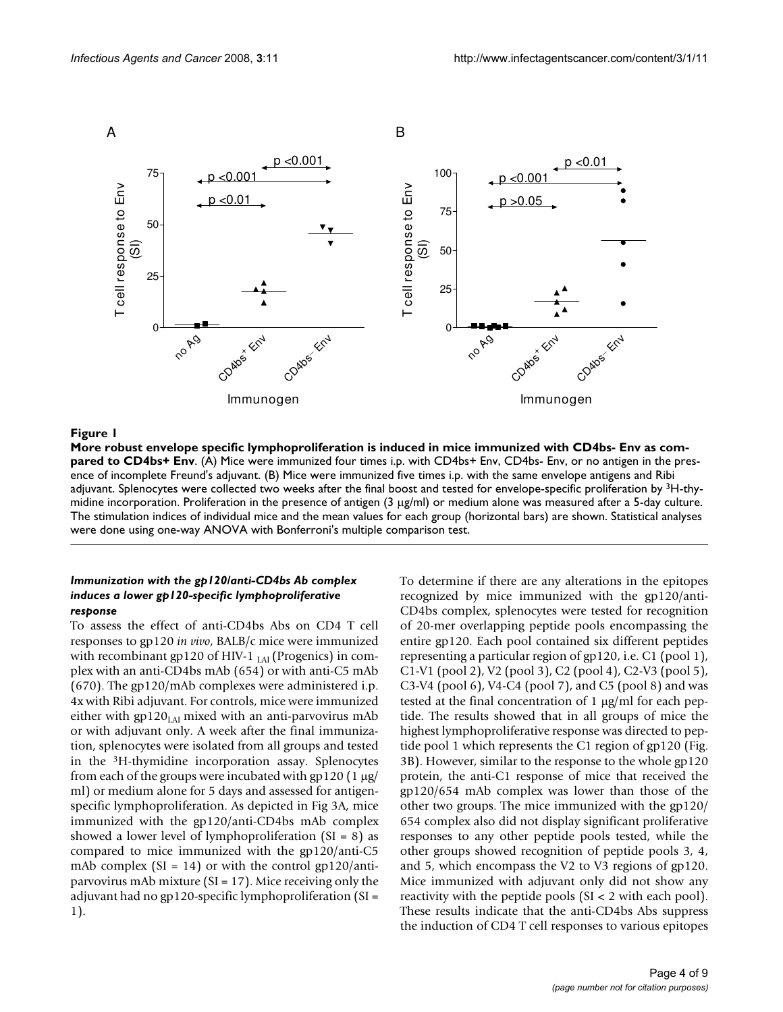

#### More robust envelope specific lymphoprol Env **Figure 1** iferation is induced in mice immunized with CD4bs- Env as compared to CD4bs+

**More robust envelope specific lymphoproliferation is induced in mice immunized with CD4bs- Env as compared to CD4bs+ Env.** (A) Mice were immunized four times i.p. with CD4bs+ Env, CD4bs- Env, or no antigen in the presence of incomplete Freund's adjuvant. (B) Mice were immunized five times i.p. with the same envelope antigens and Ribi adjuvant. Splenocytes were collected two weeks after the final boost and tested for envelope-specific proliferation by <sup>3</sup>H-thymidine incorporation. Proliferation in the presence of antigen (3 μg/ml) or medium alone was measured after a 5-day culture. The stimulation indices of individual mice and the mean values for each group (horizontal bars) are shown. Statistical analyses were done using one-way ANOVA with Bonferroni's multiple comparison test.

#### *Immunization with the gp120/anti-CD4bs Ab complex induces a lower gp120-specific lymphoproliferative response*

To assess the effect of anti-CD4bs Abs on CD4 T cell responses to gp120 *in vivo*, BALB/c mice were immunized with recombinant gp120 of HIV-1  $_{IAI}$  (Progenics) in complex with an anti-CD4bs mAb (654) or with anti-C5 mAb (670). The gp120/mAb complexes were administered i.p. 4x with Ribi adjuvant. For controls, mice were immunized either with  $gp120<sub>LAI</sub>$  mixed with an anti-parvovirus mAb or with adjuvant only. A week after the final immunization, splenocytes were isolated from all groups and tested in the 3H-thymidine incorporation assay. Splenocytes from each of the groups were incubated with gp120 (1 μg/ ml) or medium alone for 5 days and assessed for antigenspecific lymphoproliferation. As depicted in Fig 3A, mice immunized with the gp120/anti-CD4bs mAb complex showed a lower level of lymphoproliferation  $(SI = 8)$  as compared to mice immunized with the gp120/anti-C5 mAb complex  $(SI = 14)$  or with the control gp120/antiparvovirus mAb mixture (SI = 17). Mice receiving only the adjuvant had no gp120-specific lymphoproliferation (SI = 1).

To determine if there are any alterations in the epitopes recognized by mice immunized with the gp120/anti-CD4bs complex, splenocytes were tested for recognition of 20-mer overlapping peptide pools encompassing the entire gp120. Each pool contained six different peptides representing a particular region of gp120, i.e. C1 (pool 1), C1-V1 (pool 2), V2 (pool 3), C2 (pool 4), C2-V3 (pool 5), C3-V4 (pool 6), V4-C4 (pool 7), and C5 (pool 8) and was tested at the final concentration of 1 μg/ml for each peptide. The results showed that in all groups of mice the highest lymphoproliferative response was directed to peptide pool 1 which represents the C1 region of gp120 (Fig. 3B). However, similar to the response to the whole gp120 protein, the anti-C1 response of mice that received the gp120/654 mAb complex was lower than those of the other two groups. The mice immunized with the gp120/ 654 complex also did not display significant proliferative responses to any other peptide pools tested, while the other groups showed recognition of peptide pools 3, 4, and 5, which encompass the V2 to V3 regions of gp120. Mice immunized with adjuvant only did not show any reactivity with the peptide pools (SI < 2 with each pool). These results indicate that the anti-CD4bs Abs suppress the induction of CD4 T cell responses to various epitopes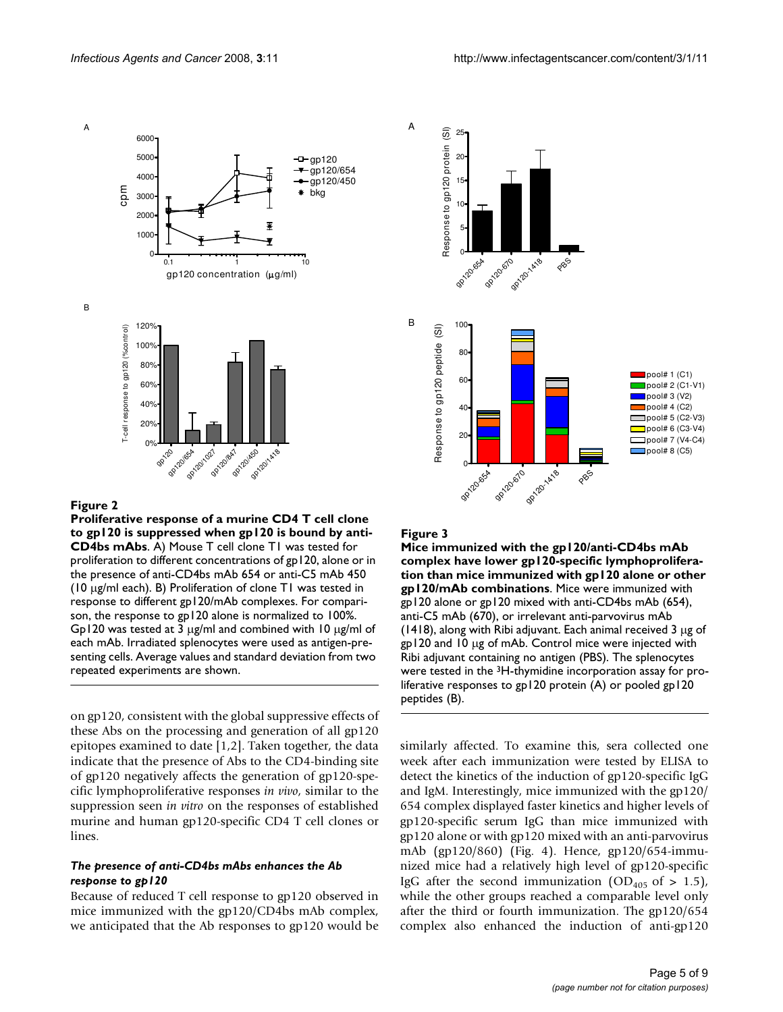

#### Figure 2

**Proliferative response of a murine CD4 T cell clone to gp120 is suppressed when gp120 is bound by anti-CD4bs mAbs**. A) Mouse T cell clone T1 was tested for proliferation to different concentrations of gp120, alone or in the presence of anti-CD4bs mAb 654 or anti-C5 mAb 450 (10 μg/ml each). B) Proliferation of clone T1 was tested in response to different gp120/mAb complexes. For comparison, the response to gp120 alone is normalized to 100%. Gp120 was tested at 3 μg/ml and combined with 10 μg/ml of each mAb. Irradiated splenocytes were used as antigen-presenting cells. Average values and standard deviation from two repeated experiments are shown.

on gp120, consistent with the global suppressive effects of these Abs on the processing and generation of all gp120 epitopes examined to date [1,2]. Taken together, the data indicate that the presence of Abs to the CD4-binding site of gp120 negatively affects the generation of gp120-specific lymphoproliferative responses *in vivo*, similar to the suppression seen *in vitro* on the responses of established murine and human gp120-specific CD4 T cell clones or lines.

#### *The presence of anti-CD4bs mAbs enhances the Ab response to gp120*

Because of reduced T cell response to gp120 observed in mice immunized with the gp120/CD4bs mAb complex, we anticipated that the Ab responses to gp120 would be



#### Figure 3

**Mice immunized with the gp120/anti-CD4bs mAb complex have lower gp120-specific lymphoproliferation than mice immunized with gp120 alone or other gp120/mAb combinations**. Mice were immunized with gp120 alone or gp120 mixed with anti-CD4bs mAb (654), anti-C5 mAb (670), or irrelevant anti-parvovirus mAb (1418), along with Ribi adjuvant. Each animal received 3 μg of gp120 and 10 μg of mAb. Control mice were injected with Ribi adjuvant containing no antigen (PBS). The splenocytes were tested in the <sup>3</sup>H-thymidine incorporation assay for proliferative responses to gp120 protein (A) or pooled gp120 peptides (B).

similarly affected. To examine this, sera collected one week after each immunization were tested by ELISA to detect the kinetics of the induction of gp120-specific IgG and IgM. Interestingly, mice immunized with the gp120/ 654 complex displayed faster kinetics and higher levels of gp120-specific serum IgG than mice immunized with gp120 alone or with gp120 mixed with an anti-parvovirus mAb (gp120/860) (Fig. 4). Hence, gp120/654-immunized mice had a relatively high level of gp120-specific IgG after the second immunization (OD<sub>405</sub> of > 1.5), while the other groups reached a comparable level only after the third or fourth immunization. The gp120/654 complex also enhanced the induction of anti-gp120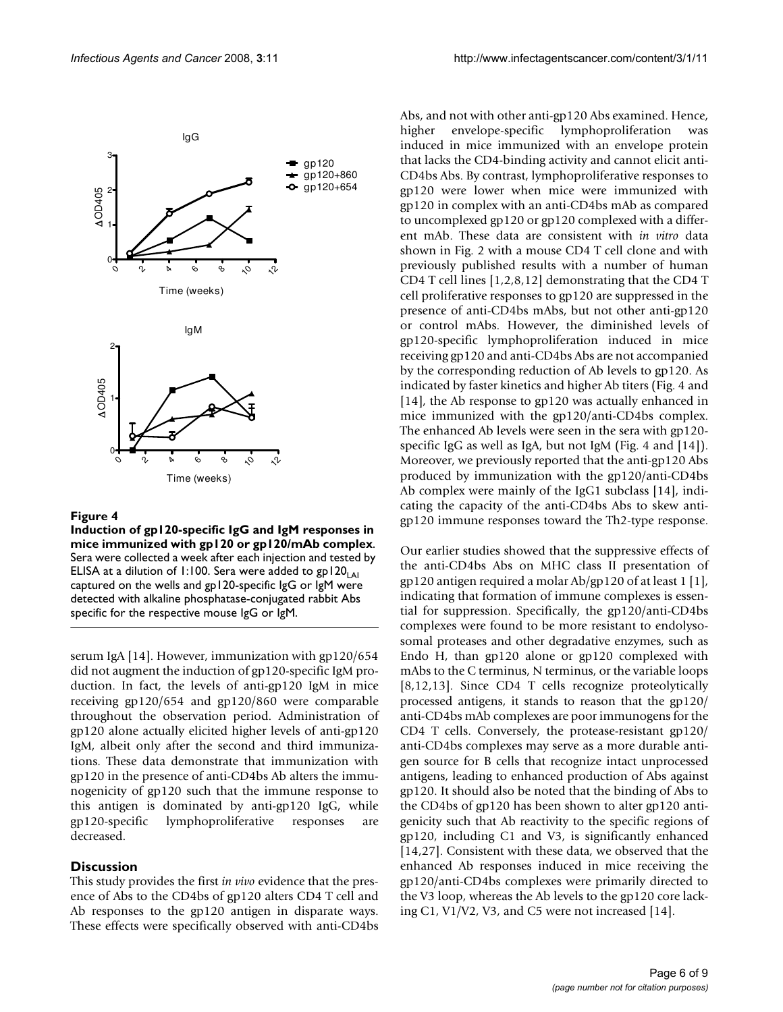

#### Figure 4

**Induction of gp120-specific IgG and IgM responses in mice immunized with gp120 or gp120/mAb complex**. Sera were collected a week after each injection and tested by ELISA at a dilution of 1:100. Sera were added to gp120<sub>LAI</sub> captured on the wells and gp120-specific IgG or IgM were detected with alkaline phosphatase-conjugated rabbit Abs specific for the respective mouse IgG or IgM.

serum IgA [14]. However, immunization with gp120/654 did not augment the induction of gp120-specific IgM production. In fact, the levels of anti-gp120 IgM in mice receiving gp120/654 and gp120/860 were comparable throughout the observation period. Administration of gp120 alone actually elicited higher levels of anti-gp120 IgM, albeit only after the second and third immunizations. These data demonstrate that immunization with gp120 in the presence of anti-CD4bs Ab alters the immunogenicity of gp120 such that the immune response to this antigen is dominated by anti-gp120 IgG, while gp120-specific lymphoproliferative responses are decreased.

#### **Discussion**

This study provides the first *in vivo* evidence that the presence of Abs to the CD4bs of gp120 alters CD4 T cell and Ab responses to the gp120 antigen in disparate ways. These effects were specifically observed with anti-CD4bs

Abs, and not with other anti-gp120 Abs examined. Hence, higher envelope-specific lymphoproliferation was induced in mice immunized with an envelope protein that lacks the CD4-binding activity and cannot elicit anti-CD4bs Abs. By contrast, lymphoproliferative responses to gp120 were lower when mice were immunized with gp120 in complex with an anti-CD4bs mAb as compared to uncomplexed gp120 or gp120 complexed with a different mAb. These data are consistent with *in vitro* data shown in Fig. 2 with a mouse CD4 T cell clone and with previously published results with a number of human CD4 T cell lines [1,2,8,12] demonstrating that the CD4 T cell proliferative responses to gp120 are suppressed in the presence of anti-CD4bs mAbs, but not other anti-gp120 or control mAbs. However, the diminished levels of gp120-specific lymphoproliferation induced in mice receiving gp120 and anti-CD4bs Abs are not accompanied by the corresponding reduction of Ab levels to gp120. As indicated by faster kinetics and higher Ab titers (Fig. 4 and [14], the Ab response to gp120 was actually enhanced in mice immunized with the gp120/anti-CD4bs complex. The enhanced Ab levels were seen in the sera with gp120 specific IgG as well as IgA, but not IgM (Fig. 4 and [14]). Moreover, we previously reported that the anti-gp120 Abs produced by immunization with the gp120/anti-CD4bs Ab complex were mainly of the IgG1 subclass [14], indicating the capacity of the anti-CD4bs Abs to skew antigp120 immune responses toward the Th2-type response.

Our earlier studies showed that the suppressive effects of the anti-CD4bs Abs on MHC class II presentation of gp120 antigen required a molar Ab/gp120 of at least 1 [1], indicating that formation of immune complexes is essential for suppression. Specifically, the gp120/anti-CD4bs complexes were found to be more resistant to endolysosomal proteases and other degradative enzymes, such as Endo H, than gp120 alone or gp120 complexed with mAbs to the C terminus, N terminus, or the variable loops [8,12,13]. Since CD4 T cells recognize proteolytically processed antigens, it stands to reason that the gp120/ anti-CD4bs mAb complexes are poor immunogens for the CD4 T cells. Conversely, the protease-resistant gp120/ anti-CD4bs complexes may serve as a more durable antigen source for B cells that recognize intact unprocessed antigens, leading to enhanced production of Abs against gp120. It should also be noted that the binding of Abs to the CD4bs of gp120 has been shown to alter gp120 antigenicity such that Ab reactivity to the specific regions of gp120, including C1 and V3, is significantly enhanced [14,27]. Consistent with these data, we observed that the enhanced Ab responses induced in mice receiving the gp120/anti-CD4bs complexes were primarily directed to the V3 loop, whereas the Ab levels to the gp120 core lacking C1, V1/V2, V3, and C5 were not increased [14].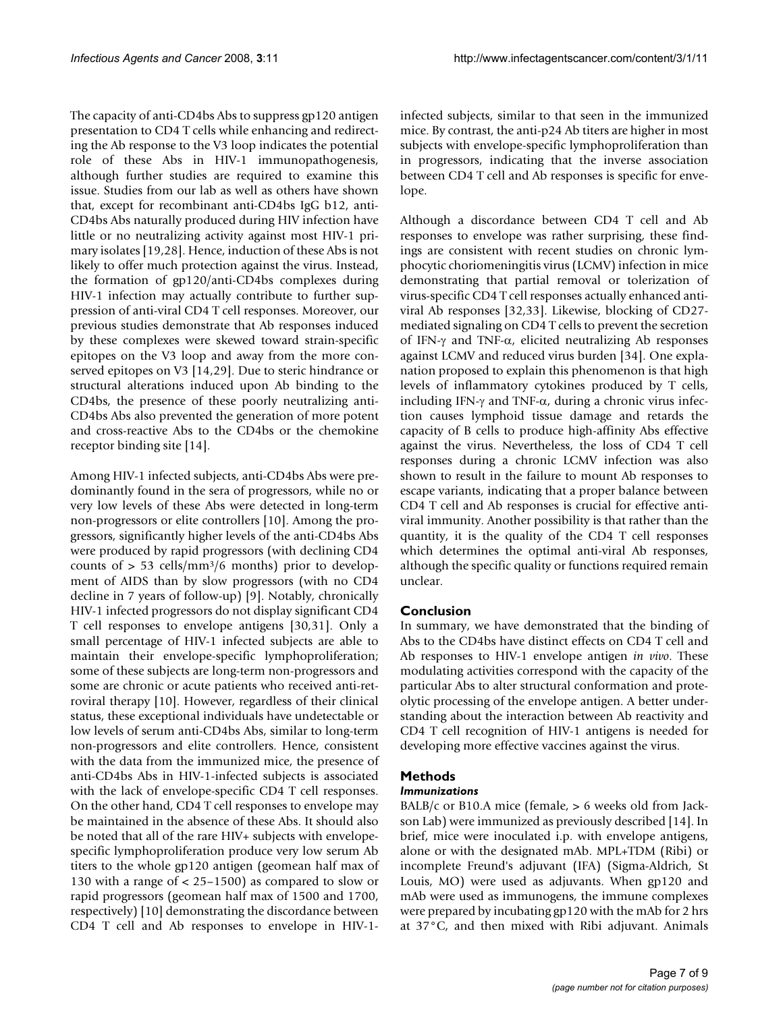The capacity of anti-CD4bs Abs to suppress gp120 antigen presentation to CD4 T cells while enhancing and redirecting the Ab response to the V3 loop indicates the potential role of these Abs in HIV-1 immunopathogenesis, although further studies are required to examine this issue. Studies from our lab as well as others have shown that, except for recombinant anti-CD4bs IgG b12, anti-CD4bs Abs naturally produced during HIV infection have little or no neutralizing activity against most HIV-1 primary isolates [19,28]. Hence, induction of these Abs is not likely to offer much protection against the virus. Instead, the formation of gp120/anti-CD4bs complexes during HIV-1 infection may actually contribute to further suppression of anti-viral CD4 T cell responses. Moreover, our previous studies demonstrate that Ab responses induced by these complexes were skewed toward strain-specific epitopes on the V3 loop and away from the more conserved epitopes on V3 [14,29]. Due to steric hindrance or structural alterations induced upon Ab binding to the CD4bs, the presence of these poorly neutralizing anti-CD4bs Abs also prevented the generation of more potent and cross-reactive Abs to the CD4bs or the chemokine receptor binding site [14].

Among HIV-1 infected subjects, anti-CD4bs Abs were predominantly found in the sera of progressors, while no or very low levels of these Abs were detected in long-term non-progressors or elite controllers [10]. Among the progressors, significantly higher levels of the anti-CD4bs Abs were produced by rapid progressors (with declining CD4 counts of  $> 53$  cells/mm<sup>3</sup>/6 months) prior to development of AIDS than by slow progressors (with no CD4 decline in 7 years of follow-up) [9]. Notably, chronically HIV-1 infected progressors do not display significant CD4 T cell responses to envelope antigens [30,31]. Only a small percentage of HIV-1 infected subjects are able to maintain their envelope-specific lymphoproliferation; some of these subjects are long-term non-progressors and some are chronic or acute patients who received anti-retroviral therapy [10]. However, regardless of their clinical status, these exceptional individuals have undetectable or low levels of serum anti-CD4bs Abs, similar to long-term non-progressors and elite controllers. Hence, consistent with the data from the immunized mice, the presence of anti-CD4bs Abs in HIV-1-infected subjects is associated with the lack of envelope-specific CD4 T cell responses. On the other hand, CD4 T cell responses to envelope may be maintained in the absence of these Abs. It should also be noted that all of the rare HIV+ subjects with envelopespecific lymphoproliferation produce very low serum Ab titers to the whole gp120 antigen (geomean half max of 130 with a range of < 25–1500) as compared to slow or rapid progressors (geomean half max of 1500 and 1700, respectively) [10] demonstrating the discordance between CD4 T cell and Ab responses to envelope in HIV-1infected subjects, similar to that seen in the immunized mice. By contrast, the anti-p24 Ab titers are higher in most subjects with envelope-specific lymphoproliferation than in progressors, indicating that the inverse association between CD4 T cell and Ab responses is specific for envelope.

Although a discordance between CD4 T cell and Ab responses to envelope was rather surprising, these findings are consistent with recent studies on chronic lymphocytic choriomeningitis virus (LCMV) infection in mice demonstrating that partial removal or tolerization of virus-specific CD4 T cell responses actually enhanced antiviral Ab responses [32,33]. Likewise, blocking of CD27 mediated signaling on CD4 T cells to prevent the secretion of IFN-γ and TNF-α, elicited neutralizing Ab responses against LCMV and reduced virus burden [34]. One explanation proposed to explain this phenomenon is that high levels of inflammatory cytokines produced by T cells, including IFN-γ and TNF- $\alpha$ , during a chronic virus infection causes lymphoid tissue damage and retards the capacity of B cells to produce high-affinity Abs effective against the virus. Nevertheless, the loss of CD4 T cell responses during a chronic LCMV infection was also shown to result in the failure to mount Ab responses to escape variants, indicating that a proper balance between CD4 T cell and Ab responses is crucial for effective antiviral immunity. Another possibility is that rather than the quantity, it is the quality of the CD4 T cell responses which determines the optimal anti-viral Ab responses, although the specific quality or functions required remain unclear.

# **Conclusion**

In summary, we have demonstrated that the binding of Abs to the CD4bs have distinct effects on CD4 T cell and Ab responses to HIV-1 envelope antigen *in vivo*. These modulating activities correspond with the capacity of the particular Abs to alter structural conformation and proteolytic processing of the envelope antigen. A better understanding about the interaction between Ab reactivity and CD4 T cell recognition of HIV-1 antigens is needed for developing more effective vaccines against the virus.

# **Methods**

# *Immunizations*

BALB/c or B10.A mice (female,  $> 6$  weeks old from Jackson Lab) were immunized as previously described [14]. In brief, mice were inoculated i.p. with envelope antigens, alone or with the designated mAb. MPL+TDM (Ribi) or incomplete Freund's adjuvant (IFA) (Sigma-Aldrich, St Louis, MO) were used as adjuvants. When gp120 and mAb were used as immunogens, the immune complexes were prepared by incubating gp120 with the mAb for 2 hrs at 37°C, and then mixed with Ribi adjuvant. Animals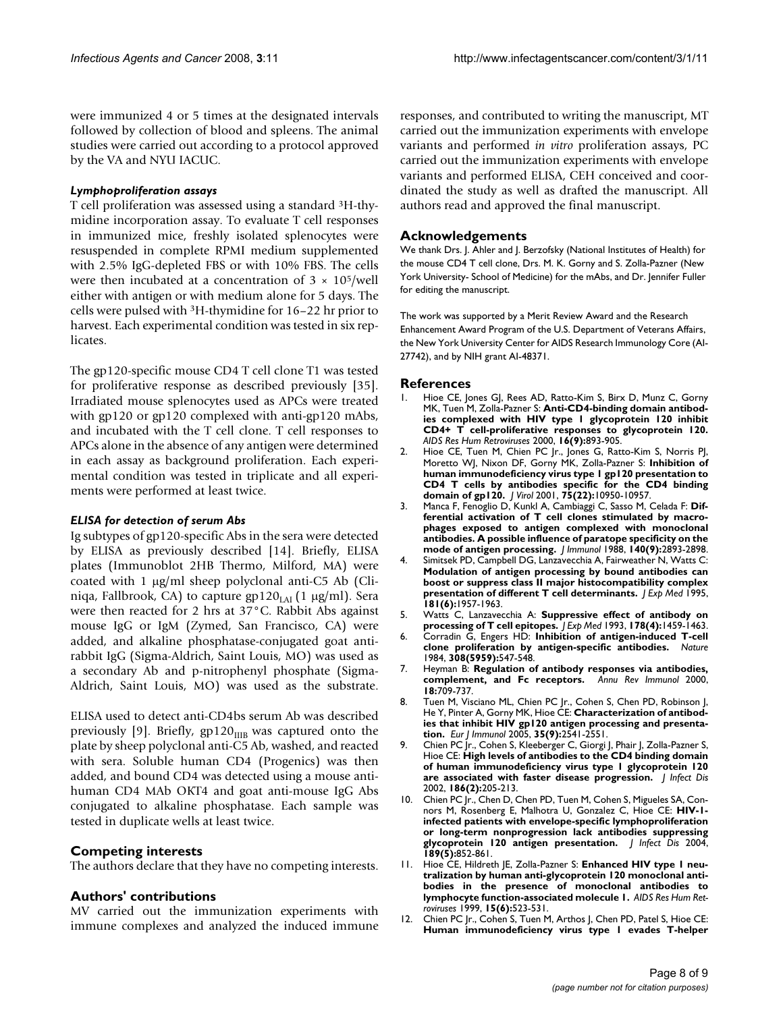were immunized 4 or 5 times at the designated intervals followed by collection of blood and spleens. The animal studies were carried out according to a protocol approved by the VA and NYU IACUC.

#### *Lymphoproliferation assays*

T cell proliferation was assessed using a standard 3H-thymidine incorporation assay. To evaluate T cell responses in immunized mice, freshly isolated splenocytes were resuspended in complete RPMI medium supplemented with 2.5% IgG-depleted FBS or with 10% FBS. The cells were then incubated at a concentration of  $3 \times 10^5$ /well either with antigen or with medium alone for 5 days. The cells were pulsed with 3H-thymidine for 16–22 hr prior to harvest. Each experimental condition was tested in six replicates.

The gp120-specific mouse CD4 T cell clone T1 was tested for proliferative response as described previously [35]. Irradiated mouse splenocytes used as APCs were treated with gp120 or gp120 complexed with anti-gp120 mAbs, and incubated with the T cell clone. T cell responses to APCs alone in the absence of any antigen were determined in each assay as background proliferation. Each experimental condition was tested in triplicate and all experiments were performed at least twice.

#### *ELISA for detection of serum Abs*

Ig subtypes of gp120-specific Abs in the sera were detected by ELISA as previously described [14]. Briefly, ELISA plates (Immunoblot 2HB Thermo, Milford, MA) were coated with 1 μg/ml sheep polyclonal anti-C5 Ab (Cliniqa, Fallbrook, CA) to capture gp120<sub>LAI</sub> (1 μg/ml). Sera were then reacted for 2 hrs at 37°C. Rabbit Abs against mouse IgG or IgM (Zymed, San Francisco, CA) were added, and alkaline phosphatase-conjugated goat antirabbit IgG (Sigma-Aldrich, Saint Louis, MO) was used as a secondary Ab and p-nitrophenyl phosphate (Sigma-Aldrich, Saint Louis, MO) was used as the substrate.

ELISA used to detect anti-CD4bs serum Ab was described previously [9]. Briefly,  $gp120_{IIB}$  was captured onto the plate by sheep polyclonal anti-C5 Ab, washed, and reacted with sera. Soluble human CD4 (Progenics) was then added, and bound CD4 was detected using a mouse antihuman CD4 MAb OKT4 and goat anti-mouse IgG Abs conjugated to alkaline phosphatase. Each sample was tested in duplicate wells at least twice.

# **Competing interests**

The authors declare that they have no competing interests.

# **Authors' contributions**

MV carried out the immunization experiments with immune complexes and analyzed the induced immune responses, and contributed to writing the manuscript, MT carried out the immunization experiments with envelope variants and performed *in vitro* proliferation assays, PC carried out the immunization experiments with envelope variants and performed ELISA, CEH conceived and coordinated the study as well as drafted the manuscript. All authors read and approved the final manuscript.

# **Acknowledgements**

We thank Drs. J. Ahler and J. Berzofsky (National Institutes of Health) for the mouse CD4 T cell clone, Drs. M. K. Gorny and S. Zolla-Pazner (New York University- School of Medicine) for the mAbs, and Dr. Jennifer Fuller for editing the manuscript.

The work was supported by a Merit Review Award and the Research Enhancement Award Program of the U.S. Department of Veterans Affairs, the New York University Center for AIDS Research Immunology Core (AI-27742), and by NIH grant AI-48371.

# **References**

- Hioe CE, Jones GJ, Rees AD, Ratto-Kim S, Birx D, Munz C, Gorny MK, Tuen M, Zolla-Pazner S: **[Anti-CD4-binding domain antibod](http://www.ncbi.nlm.nih.gov/entrez/query.fcgi?cmd=Retrieve&db=PubMed&dopt=Abstract&list_uids=10875615)[ies complexed with HIV type 1 glycoprotein 120 inhibit](http://www.ncbi.nlm.nih.gov/entrez/query.fcgi?cmd=Retrieve&db=PubMed&dopt=Abstract&list_uids=10875615) CD4+ T cell-proliferative responses to glycoprotein 120.** *AIDS Res Hum Retroviruses* 2000, **16(9):**893-905.
- 2. Hioe CE, Tuen M, Chien PC Jr., Jones G, Ratto-Kim S, Norris PJ, Moretto WJ, Nixon DF, Gorny MK, Zolla-Pazner S: **[Inhibition of](http://www.ncbi.nlm.nih.gov/entrez/query.fcgi?cmd=Retrieve&db=PubMed&dopt=Abstract&list_uids=11602735) [human immunodeficiency virus type 1 gp120 presentation to](http://www.ncbi.nlm.nih.gov/entrez/query.fcgi?cmd=Retrieve&db=PubMed&dopt=Abstract&list_uids=11602735) CD4 T cells by antibodies specific for the CD4 binding [domain of gp120.](http://www.ncbi.nlm.nih.gov/entrez/query.fcgi?cmd=Retrieve&db=PubMed&dopt=Abstract&list_uids=11602735)** *J Virol* 2001, **75(22):**10950-10957.
- 3. Manca F, Fenoglio D, Kunkl A, Cambiaggi C, Sasso M, Celada F: **[Dif](http://www.ncbi.nlm.nih.gov/entrez/query.fcgi?cmd=Retrieve&db=PubMed&dopt=Abstract&list_uids=3129502)ferential activation of T cell clones stimulated by macro[phages exposed to antigen complexed with monoclonal](http://www.ncbi.nlm.nih.gov/entrez/query.fcgi?cmd=Retrieve&db=PubMed&dopt=Abstract&list_uids=3129502) antibodies. A possible influence of paratope specificity on the [mode of antigen processing.](http://www.ncbi.nlm.nih.gov/entrez/query.fcgi?cmd=Retrieve&db=PubMed&dopt=Abstract&list_uids=3129502)** *J Immunol* 1988, **140(9):**2893-2898.
- 4. Simitsek PD, Campbell DG, Lanzavecchia A, Fairweather N, Watts C: **[Modulation of antigen processing by bound antibodies can](http://www.ncbi.nlm.nih.gov/entrez/query.fcgi?cmd=Retrieve&db=PubMed&dopt=Abstract&list_uids=7539034) boost or suppress class II major histocompatibility complex [presentation of different T cell determinants.](http://www.ncbi.nlm.nih.gov/entrez/query.fcgi?cmd=Retrieve&db=PubMed&dopt=Abstract&list_uids=7539034)** *J Exp Med* 1995, **181(6):**1957-1963.
- 5. Watts C, Lanzavecchia A: **[Suppressive effect of antibody on](http://www.ncbi.nlm.nih.gov/entrez/query.fcgi?cmd=Retrieve&db=PubMed&dopt=Abstract&list_uids=7690836) [processing of T cell epitopes.](http://www.ncbi.nlm.nih.gov/entrez/query.fcgi?cmd=Retrieve&db=PubMed&dopt=Abstract&list_uids=7690836)** *J Exp Med* 1993, **178(4):**1459-1463.
- 6. Corradin G, Engers HD: **[Inhibition of antigen-induced T-cell](http://www.ncbi.nlm.nih.gov/entrez/query.fcgi?cmd=Retrieve&db=PubMed&dopt=Abstract&list_uids=6324000) [clone proliferation by antigen-specific antibodies.](http://www.ncbi.nlm.nih.gov/entrez/query.fcgi?cmd=Retrieve&db=PubMed&dopt=Abstract&list_uids=6324000)** *Nature* 1984, **308(5959):**547-548.
- 7. Heyman B: **[Regulation of antibody responses via antibodies,](http://www.ncbi.nlm.nih.gov/entrez/query.fcgi?cmd=Retrieve&db=PubMed&dopt=Abstract&list_uids=10837073) [complement, and Fc receptors.](http://www.ncbi.nlm.nih.gov/entrez/query.fcgi?cmd=Retrieve&db=PubMed&dopt=Abstract&list_uids=10837073)** *Annu Rev Immunol* 2000, **18:**709-737.
- 8. Tuen M, Visciano ML, Chien PC Jr., Cohen S, Chen PD, Robinson J, He Y, Pinter A, Gorny MK, Hioe CE: **[Characterization of antibod](http://www.ncbi.nlm.nih.gov/entrez/query.fcgi?cmd=Retrieve&db=PubMed&dopt=Abstract&list_uids=16106369)[ies that inhibit HIV gp120 antigen processing and presenta](http://www.ncbi.nlm.nih.gov/entrez/query.fcgi?cmd=Retrieve&db=PubMed&dopt=Abstract&list_uids=16106369)[tion.](http://www.ncbi.nlm.nih.gov/entrez/query.fcgi?cmd=Retrieve&db=PubMed&dopt=Abstract&list_uids=16106369)** *Eur J Immunol* 2005, **35(9):**2541-2551.
- 9. Chien PC Jr., Cohen S, Kleeberger C, Giorgi J, Phair J, Zolla-Pazner S, Hioe CE: **[High levels of antibodies to the CD4 binding domain](http://www.ncbi.nlm.nih.gov/entrez/query.fcgi?cmd=Retrieve&db=PubMed&dopt=Abstract&list_uids=12134256) [of human immunodeficiency virus type 1 glycoprotein 120](http://www.ncbi.nlm.nih.gov/entrez/query.fcgi?cmd=Retrieve&db=PubMed&dopt=Abstract&list_uids=12134256) [are associated with faster disease progression.](http://www.ncbi.nlm.nih.gov/entrez/query.fcgi?cmd=Retrieve&db=PubMed&dopt=Abstract&list_uids=12134256)** *J Infect Dis* 2002, **186(2):**205-213.
- 10. Chien PC Jr., Chen D, Chen PD, Tuen M, Cohen S, Migueles SA, Connors M, Rosenberg E, Malhotra U, Gonzalez C, Hioe CE: **[HIV-1](http://www.ncbi.nlm.nih.gov/entrez/query.fcgi?cmd=Retrieve&db=PubMed&dopt=Abstract&list_uids=14976603) infected patients with envelope-specific lymphoproliferation [or long-term nonprogression lack antibodies suppressing](http://www.ncbi.nlm.nih.gov/entrez/query.fcgi?cmd=Retrieve&db=PubMed&dopt=Abstract&list_uids=14976603) [glycoprotein 120 antigen presentation.](http://www.ncbi.nlm.nih.gov/entrez/query.fcgi?cmd=Retrieve&db=PubMed&dopt=Abstract&list_uids=14976603)** *J Infect Dis* 2004, **189(5):**852-861.
- 11. Hioe CE, Hildreth JE, Zolla-Pazner S: **[Enhanced HIV type 1 neu](http://www.ncbi.nlm.nih.gov/entrez/query.fcgi?cmd=Retrieve&db=PubMed&dopt=Abstract&list_uids=10221529)[tralization by human anti-glycoprotein 120 monoclonal anti](http://www.ncbi.nlm.nih.gov/entrez/query.fcgi?cmd=Retrieve&db=PubMed&dopt=Abstract&list_uids=10221529)bodies in the presence of monoclonal antibodies to [lymphocyte function-associated molecule 1.](http://www.ncbi.nlm.nih.gov/entrez/query.fcgi?cmd=Retrieve&db=PubMed&dopt=Abstract&list_uids=10221529)** *AIDS Res Hum Retroviruses* 1999, **15(6):**523-531.
- 12. Chien PC Jr., Cohen S, Tuen M, Arthos J, Chen PD, Patel S, Hioe CE: **[Human immunodeficiency virus type 1 evades T-helper](http://www.ncbi.nlm.nih.gov/entrez/query.fcgi?cmd=Retrieve&db=PubMed&dopt=Abstract&list_uids=15220439)**